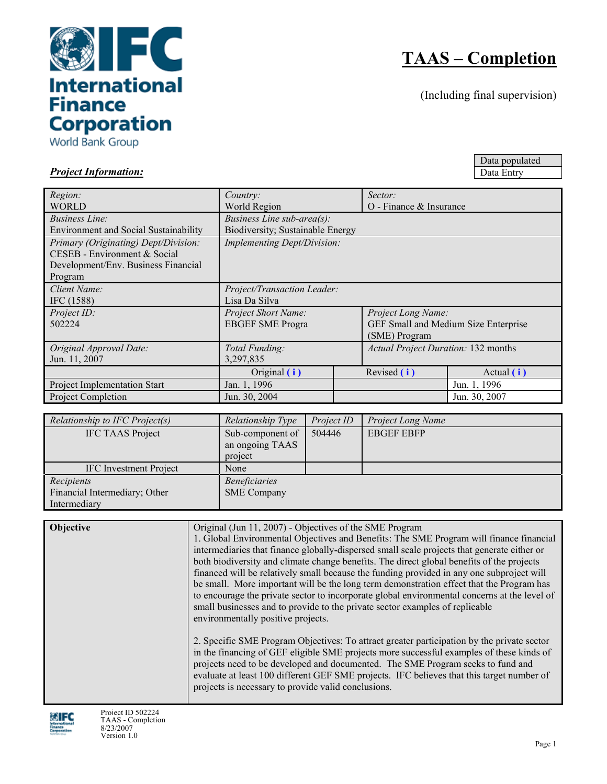

World Bank Group

# **TAAS – Completion**

(Including final supervision)

Data populated Data Entry

*Project Information:*

| Region:                                      | Country:                           |                                  | Sector:                                    |               |  |  |  |  |
|----------------------------------------------|------------------------------------|----------------------------------|--------------------------------------------|---------------|--|--|--|--|
| <b>WORLD</b>                                 | World Region                       |                                  | O - Finance & Insurance                    |               |  |  |  |  |
| <i>Business Line:</i>                        | <i>Business Line sub-area(s):</i>  |                                  |                                            |               |  |  |  |  |
| <b>Environment and Social Sustainability</b> |                                    | Biodiversity; Sustainable Energy |                                            |               |  |  |  |  |
| Primary (Originating) Dept/Division:         | <b>Implementing Dept/Division:</b> |                                  |                                            |               |  |  |  |  |
| CESEB - Environment & Social                 |                                    |                                  |                                            |               |  |  |  |  |
| Development/Env. Business Financial          |                                    |                                  |                                            |               |  |  |  |  |
| Program                                      |                                    |                                  |                                            |               |  |  |  |  |
| Client Name:                                 | Project/Transaction Leader:        |                                  |                                            |               |  |  |  |  |
| IFC (1588)                                   | Lisa Da Silva                      |                                  |                                            |               |  |  |  |  |
| Project ID:                                  | Project Short Name:                |                                  | Project Long Name:                         |               |  |  |  |  |
| 502224                                       | <b>EBGEF SME Progra</b>            |                                  | GEF Small and Medium Size Enterprise       |               |  |  |  |  |
|                                              |                                    |                                  | (SME) Program                              |               |  |  |  |  |
| Original Approval Date:                      | Total Funding:                     |                                  | <b>Actual Project Duration: 132 months</b> |               |  |  |  |  |
| Jun. 11, 2007                                | 3,297,835                          |                                  |                                            |               |  |  |  |  |
|                                              | Original (i)                       | Revised (i)                      |                                            | Actual $(i)$  |  |  |  |  |
| Project Implementation Start                 | Jan. 1, 1996                       |                                  |                                            | Jun. 1, 1996  |  |  |  |  |
| Project Completion                           | Jun. 30, 2004                      |                                  |                                            | Jun. 30, 2007 |  |  |  |  |

| Relationship to IFC Project(s) | Relationship Type    | Project ID | <b>Project Long Name</b> |
|--------------------------------|----------------------|------------|--------------------------|
| <b>IFC TAAS Project</b>        | Sub-component of     | 504446     | <b>EBGEF EBFP</b>        |
|                                | an ongoing TAAS      |            |                          |
|                                | project              |            |                          |
| <b>IFC</b> Investment Project  | None                 |            |                          |
| Recipients                     | <b>Beneficiaries</b> |            |                          |
| Financial Intermediary; Other  | <b>SME</b> Company   |            |                          |
| Intermediary                   |                      |            |                          |

**Objective Objective Objective Objective Objectives** of the SME Program 1. Global Environmental Objectives and Benefits: The SME Program will finance financial intermediaries that finance globally-dispersed small scale projects that generate either or both biodiversity and climate change benefits. The direct global benefits of the projects financed will be relatively small because the funding provided in any one subproject will be small. More important will be the long term demonstration effect that the Program has to encourage the private sector to incorporate global environmental concerns at the level of small businesses and to provide to the private sector examples of replicable environmentally positive projects. 2. Specific SME Program Objectives: To attract greater participation by the private sector in the financing of GEF eligible SME projects more successful examples of these kinds of projects need to be developed and documented. The SME Program seeks to fund and evaluate at least 100 different GEF SME projects. IFC believes that this target number of projects is necessary to provide valid conclusions.

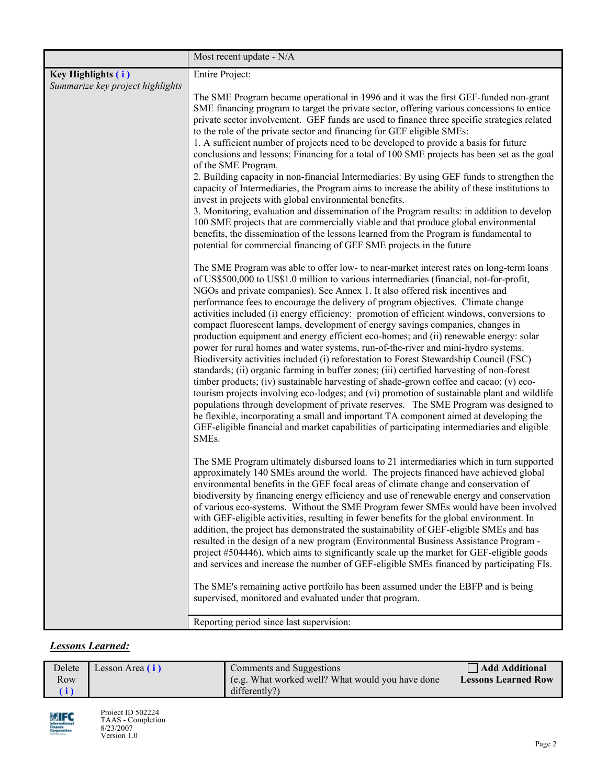|                                                        | Most recent update - N/A                                                                                                                                                                                                                                                                                                                                                                                                                                                                                                                                                                                                                                                                                                                                                                                                                                                                                                                                                                                                                                                                                                                                                                                                                                                                                                                                                                      |
|--------------------------------------------------------|-----------------------------------------------------------------------------------------------------------------------------------------------------------------------------------------------------------------------------------------------------------------------------------------------------------------------------------------------------------------------------------------------------------------------------------------------------------------------------------------------------------------------------------------------------------------------------------------------------------------------------------------------------------------------------------------------------------------------------------------------------------------------------------------------------------------------------------------------------------------------------------------------------------------------------------------------------------------------------------------------------------------------------------------------------------------------------------------------------------------------------------------------------------------------------------------------------------------------------------------------------------------------------------------------------------------------------------------------------------------------------------------------|
| Key Highlights (i)<br>Summarize key project highlights | Entire Project:                                                                                                                                                                                                                                                                                                                                                                                                                                                                                                                                                                                                                                                                                                                                                                                                                                                                                                                                                                                                                                                                                                                                                                                                                                                                                                                                                                               |
|                                                        | The SME Program became operational in 1996 and it was the first GEF-funded non-grant<br>SME financing program to target the private sector, offering various concessions to entice<br>private sector involvement. GEF funds are used to finance three specific strategies related<br>to the role of the private sector and financing for GEF eligible SMEs:<br>1. A sufficient number of projects need to be developed to provide a basis for future<br>conclusions and lessons: Financing for a total of 100 SME projects has been set as the goal<br>of the SME Program.<br>2. Building capacity in non-financial Intermediaries: By using GEF funds to strengthen the<br>capacity of Intermediaries, the Program aims to increase the ability of these institutions to<br>invest in projects with global environmental benefits.<br>3. Monitoring, evaluation and dissemination of the Program results: in addition to develop<br>100 SME projects that are commercially viable and that produce global environmental<br>benefits, the dissemination of the lessons learned from the Program is fundamental to<br>potential for commercial financing of GEF SME projects in the future                                                                                                                                                                                                     |
|                                                        | The SME Program was able to offer low- to near-market interest rates on long-term loans<br>of US\$500,000 to US\$1.0 million to various intermediaries (financial, not-for-profit,<br>NGOs and private companies). See Annex 1. It also offered risk incentives and<br>performance fees to encourage the delivery of program objectives. Climate change<br>activities included (i) energy efficiency: promotion of efficient windows, conversions to<br>compact fluorescent lamps, development of energy savings companies, changes in<br>production equipment and energy efficient eco-homes; and (ii) renewable energy: solar<br>power for rural homes and water systems, run-of-the-river and mini-hydro systems.<br>Biodiversity activities included (i) reforestation to Forest Stewardship Council (FSC)<br>standards; (ii) organic farming in buffer zones; (iii) certified harvesting of non-forest<br>timber products; (iv) sustainable harvesting of shade-grown coffee and cacao; (v) eco-<br>tourism projects involving eco-lodges; and (vi) promotion of sustainable plant and wildlife<br>populations through development of private reserves. The SME Program was designed to<br>be flexible, incorporating a small and important TA component aimed at developing the<br>GEF-eligible financial and market capabilities of participating intermediaries and eligible<br>SMEs. |
|                                                        | The SME Program ultimately disbursed loans to 21 intermediaries which in turn supported<br>approximately 140 SMEs around the world. The projects financed have achieved global<br>environmental benefits in the GEF focal areas of climate change and conservation of<br>biodiversity by financing energy efficiency and use of renewable energy and conservation<br>of various eco-systems. Without the SME Program fewer SMEs would have been involved<br>with GEF-eligible activities, resulting in fewer benefits for the global environment. In<br>addition, the project has demonstrated the sustainability of GEF-eligible SMEs and has<br>resulted in the design of a new program (Environmental Business Assistance Program -<br>project #504446), which aims to significantly scale up the market for GEF-eligible goods<br>and services and increase the number of GEF-eligible SMEs financed by participating FIs.<br>The SME's remaining active portfoilo has been assumed under the EBFP and is being<br>supervised, monitored and evaluated under that program.                                                                                                                                                                                                                                                                                                                |
|                                                        | Reporting period since last supervision:                                                                                                                                                                                                                                                                                                                                                                                                                                                                                                                                                                                                                                                                                                                                                                                                                                                                                                                                                                                                                                                                                                                                                                                                                                                                                                                                                      |

## *Lessons Learned:*

| Delete | Lesson Area (i) | Comments and Suggestions                         | Add Additional             |
|--------|-----------------|--------------------------------------------------|----------------------------|
| Row    |                 | (e.g. What worked well? What would you have done | <b>Lessons Learned Row</b> |
| (i)    |                 | differently?)                                    |                            |

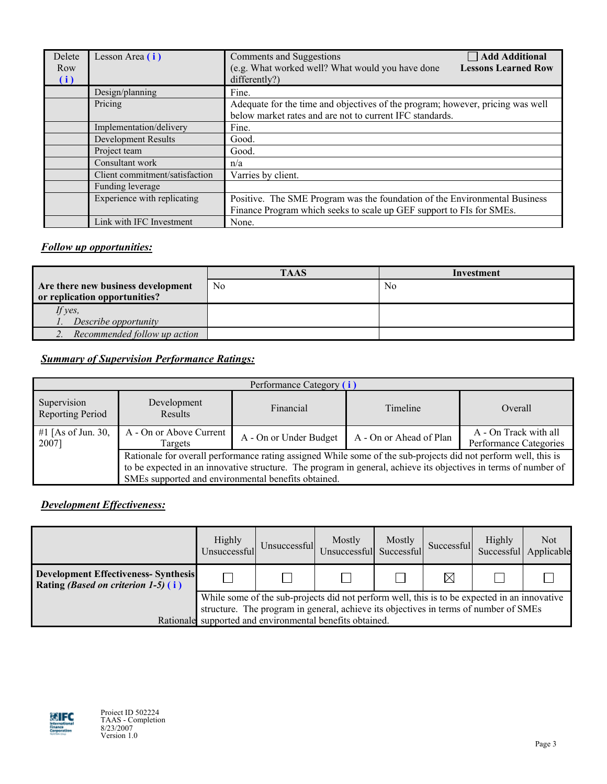| Delete<br>Row<br>(i) | Lesson Area (i)                | Add Additional<br>Comments and Suggestions<br>(e.g. What worked well? What would you have done<br><b>Lessons Learned Row</b><br>differently?) |
|----------------------|--------------------------------|-----------------------------------------------------------------------------------------------------------------------------------------------|
|                      | Design/planning                | Fine.                                                                                                                                         |
|                      | Pricing                        | Adequate for the time and objectives of the program; however, pricing was well<br>below market rates and are not to current IFC standards.    |
|                      | Implementation/delivery        | Fine.                                                                                                                                         |
|                      | Development Results            | Good.                                                                                                                                         |
|                      | Project team                   | Good.                                                                                                                                         |
|                      | Consultant work                | n/a                                                                                                                                           |
|                      | Client commitment/satisfaction | Varries by client.                                                                                                                            |
|                      | Funding leverage               |                                                                                                                                               |
|                      | Experience with replicating    | Positive. The SME Program was the foundation of the Environmental Business                                                                    |
|                      |                                | Finance Program which seeks to scale up GEF support to FIs for SMEs.                                                                          |
|                      | Link with IFC Investment       | None.                                                                                                                                         |

## *Follow up opportunities:*

|                                    | <b>TAAS</b> | Investment |  |  |  |
|------------------------------------|-------------|------------|--|--|--|
| Are there new business development | No.         | No         |  |  |  |
| or replication opportunities?      |             |            |  |  |  |
| If yes,                            |             |            |  |  |  |
| Describe opportunity               |             |            |  |  |  |
| 2. Recommended follow up action    |             |            |  |  |  |

# *Summary of Supervision Performance Ratings:*

|                                        | Performance Category (i)                                                                                                                                                                                                                                                                 |                        |                         |                                                 |  |  |  |  |  |  |
|----------------------------------------|------------------------------------------------------------------------------------------------------------------------------------------------------------------------------------------------------------------------------------------------------------------------------------------|------------------------|-------------------------|-------------------------------------------------|--|--|--|--|--|--|
| Supervision<br><b>Reporting Period</b> | Development<br><b>Results</b>                                                                                                                                                                                                                                                            | Financial              | Timeline                | Overall                                         |  |  |  |  |  |  |
| #1 [As of Jun. 30,<br>2007]            | A - On or Above Current<br>Targets                                                                                                                                                                                                                                                       | A - On or Under Budget | A - On or Ahead of Plan | A - On Track with all<br>Performance Categories |  |  |  |  |  |  |
|                                        | Rationale for overall performance rating assigned While some of the sub-projects did not perform well, this is<br>to be expected in an innovative structure. The program in general, achieve its objectives in terms of number of<br>SMEs supported and environmental benefits obtained. |                        |                         |                                                 |  |  |  |  |  |  |

## *Development Effectiveness:*

|                                                                                            | Highly<br>Unsuccessful                                                                                                                                                                                                                           | Unsuccessful | Mostly<br>Unsuccessful Successful | Mostly | Successful  | <b>Highly</b> | Not<br>Successful Applicable |  |
|--------------------------------------------------------------------------------------------|--------------------------------------------------------------------------------------------------------------------------------------------------------------------------------------------------------------------------------------------------|--------------|-----------------------------------|--------|-------------|---------------|------------------------------|--|
| <b>Development Effectiveness-Synthesis</b><br>Rating <i>(Based on criterion 1-5)</i> $(i)$ |                                                                                                                                                                                                                                                  |              |                                   |        | $\boxtimes$ |               |                              |  |
|                                                                                            | While some of the sub-projects did not perform well, this is to be expected in an innovative<br>structure. The program in general, achieve its objectives in terms of number of SMEs<br>Rationale supported and environmental benefits obtained. |              |                                   |        |             |               |                              |  |

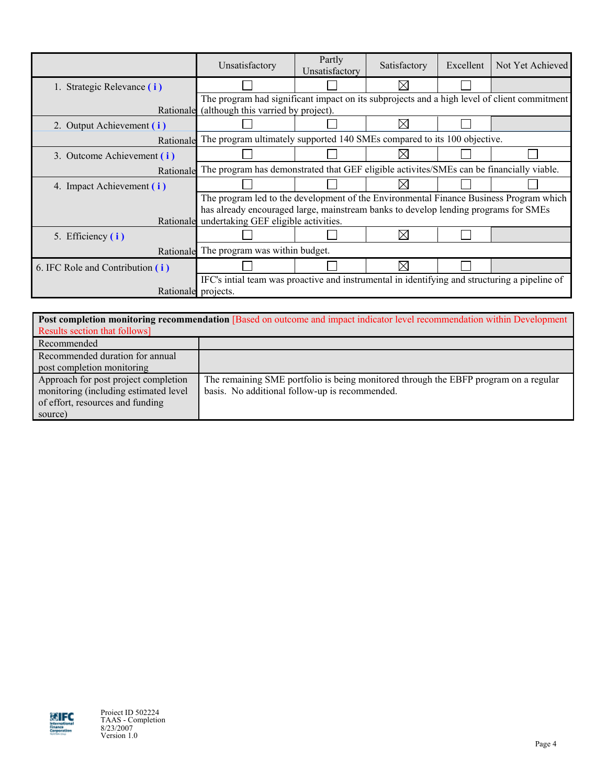|                                  | Unsatisfactory                                                                                | Partly<br>Unsatisfactory                                                 | Satisfactory | Excellent | Not Yet Achieved |  |  |  |  |
|----------------------------------|-----------------------------------------------------------------------------------------------|--------------------------------------------------------------------------|--------------|-----------|------------------|--|--|--|--|
| 1. Strategic Relevance (i)       |                                                                                               |                                                                          | ⋉            |           |                  |  |  |  |  |
|                                  | The program had significant impact on its subprojects and a high level of client commitment   |                                                                          |              |           |                  |  |  |  |  |
|                                  |                                                                                               | Rationale (although this varried by project).                            |              |           |                  |  |  |  |  |
| 2. Output Achievement (i)        |                                                                                               |                                                                          | $\times$     |           |                  |  |  |  |  |
| Rationale                        |                                                                                               | The program ultimately supported 140 SMEs compared to its 100 objective. |              |           |                  |  |  |  |  |
| 3. Outcome Achievement (i)       |                                                                                               |                                                                          |              |           |                  |  |  |  |  |
| Rationale                        | The program has demonstrated that GEF eligible activites/SMEs can be financially viable.      |                                                                          |              |           |                  |  |  |  |  |
| 4. Impact Achievement (i)        |                                                                                               |                                                                          | $\times$     |           |                  |  |  |  |  |
|                                  | The program led to the development of the Environmental Finance Business Program which        |                                                                          |              |           |                  |  |  |  |  |
|                                  | has already encouraged large, mainstream banks to develop lending programs for SMEs           |                                                                          |              |           |                  |  |  |  |  |
|                                  | Rationale undertaking GEF eligible activities.                                                |                                                                          |              |           |                  |  |  |  |  |
| 5. Efficiency (i)                |                                                                                               |                                                                          | ⋉            |           |                  |  |  |  |  |
| Rationale                        | The program was within budget.                                                                |                                                                          |              |           |                  |  |  |  |  |
| 6. IFC Role and Contribution (i) |                                                                                               |                                                                          | ⋉            |           |                  |  |  |  |  |
|                                  | IFC's intial team was proactive and instrumental in identifying and structuring a pipeline of |                                                                          |              |           |                  |  |  |  |  |
|                                  | Rationale projects.                                                                           |                                                                          |              |           |                  |  |  |  |  |

| <b>Post completion monitoring recommendation [Based on outcome and impact indicator level recommendation within Development</b> |                                                                                                                                        |  |  |  |  |  |  |  |  |
|---------------------------------------------------------------------------------------------------------------------------------|----------------------------------------------------------------------------------------------------------------------------------------|--|--|--|--|--|--|--|--|
| Results section that follows]                                                                                                   |                                                                                                                                        |  |  |  |  |  |  |  |  |
| Recommended                                                                                                                     |                                                                                                                                        |  |  |  |  |  |  |  |  |
| Recommended duration for annual<br>post completion monitoring                                                                   |                                                                                                                                        |  |  |  |  |  |  |  |  |
| Approach for post project completion<br>monitoring (including estimated level<br>of effort, resources and funding<br>source)    | The remaining SME portfolio is being monitored through the EBFP program on a regular<br>basis. No additional follow-up is recommended. |  |  |  |  |  |  |  |  |

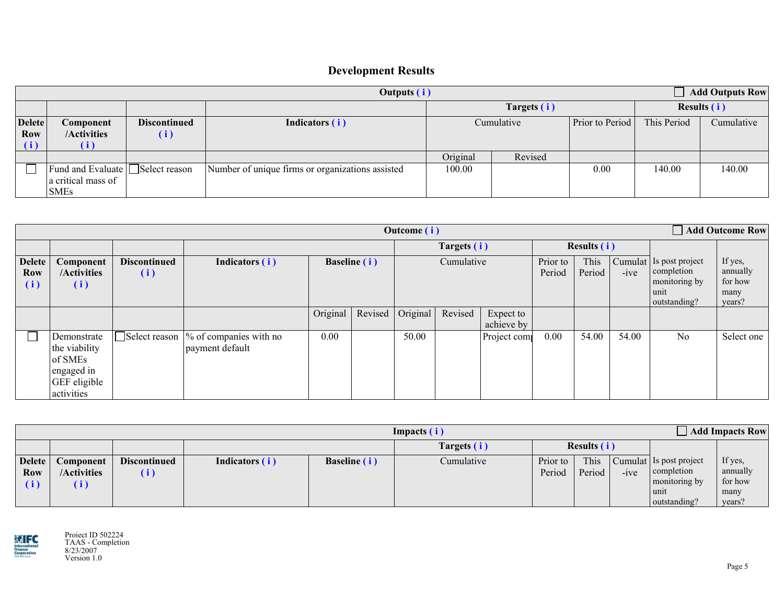# **Development Results**

| $\Box$ Add Outputs Row<br>Outputs (i) |                                                                      |                                          |                                                  |                     |             |                 |                           |                    |  |
|---------------------------------------|----------------------------------------------------------------------|------------------------------------------|--------------------------------------------------|---------------------|-------------|-----------------|---------------------------|--------------------|--|
|                                       |                                                                      |                                          |                                                  |                     | Targets (i) |                 |                           | <b>Results (i)</b> |  |
| <b>Delete</b><br>Row<br>(i)           | Component<br>/Activities                                             | <b>Discontinued</b><br>$\left( i\right)$ | Indicators (i)                                   | Cumulative          |             | Prior to Period | This Period<br>Cumulative |                    |  |
|                                       |                                                                      |                                          |                                                  | Original<br>Revised |             |                 |                           |                    |  |
|                                       | Fund and Evaluate Select reason<br>a critical mass of<br><b>SMEs</b> |                                          | Number of unique firms or organizations assisted | 100.00              |             | 0.00            | 140.00                    | 140.00             |  |

|                                    | <b>Add Outcome Row</b><br><b>Outcome</b> (i)                                         |                            |                                                          |          |                     |                  |         |                         |                    |                |        |                                                                                |                                                  |
|------------------------------------|--------------------------------------------------------------------------------------|----------------------------|----------------------------------------------------------|----------|---------------------|------------------|---------|-------------------------|--------------------|----------------|--------|--------------------------------------------------------------------------------|--------------------------------------------------|
|                                    |                                                                                      |                            |                                                          |          |                     | Targets (i)      |         |                         | <b>Results (i)</b> |                |        |                                                                                |                                                  |
| <b>Delete</b><br><b>Row</b><br>(i) | Component<br>/Activities<br>(i)                                                      | <b>Discontinued</b><br>(i) | Indicators (i)                                           |          | <b>Baseline</b> (i) | Cumulative       |         |                         | Prior to<br>Period | This<br>Period | $-ive$ | Cumulat Is post project<br>completion<br>monitoring by<br>unit<br>outstanding? | If yes,<br>annually<br>for how<br>many<br>years? |
|                                    |                                                                                      |                            |                                                          | Original |                     | Revised Original | Revised | Expect to<br>achieve by |                    |                |        |                                                                                |                                                  |
|                                    | Demonstrate<br>the viability<br>of SMEs<br>lengaged in<br>GEF eligible<br>activities |                            | Select reason  % of companies with no<br>payment default | 0.00     |                     | 50.00            |         | Project com             | 0.00               | 54.00          | 54.00  | N <sub>o</sub>                                                                 | Select one                                       |

|                                           | $\Box$ Add Impacts Row<br>Impacts (i)                   |                                          |                |              |             |                    |                |        |                                                                                |                                                  |
|-------------------------------------------|---------------------------------------------------------|------------------------------------------|----------------|--------------|-------------|--------------------|----------------|--------|--------------------------------------------------------------------------------|--------------------------------------------------|
|                                           |                                                         |                                          |                |              | Targets (i) |                    | Results (i)    |        |                                                                                |                                                  |
| <b>Delete</b><br>Row<br>$\left( i\right)$ | Component<br>/Activities<br>$\left  \mathbf{i} \right $ | <b>Discontinued</b><br>$\left( i\right)$ | Indicators (i) | Baseline (i) | Cumulative  | Prior to<br>Period | This<br>Period | $-ive$ | Cumulat Is post project<br>completion<br>monitoring by<br>unit<br>outstanding? | If yes,<br>annually<br>for how<br>many<br>years? |

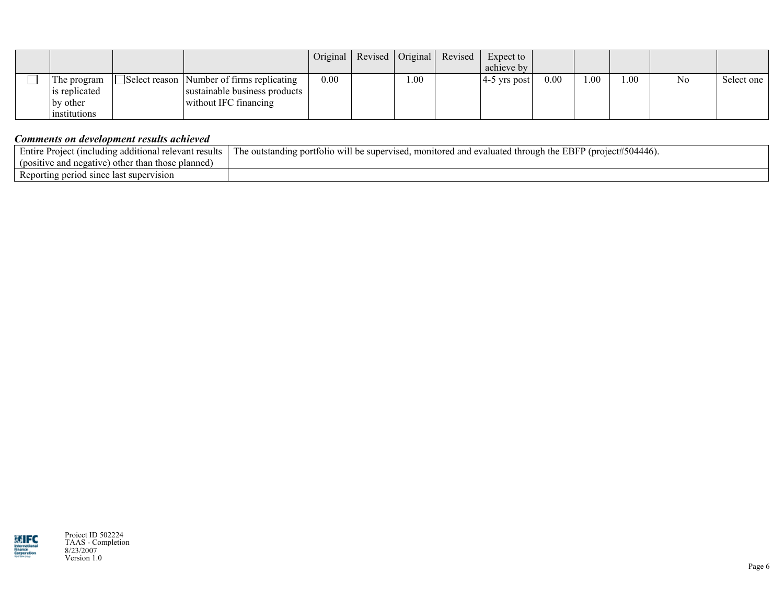|  |                     |                                           | $Original \mid$ | Revised   Original | Revised | Expect to               |          |     |     |                |            |
|--|---------------------|-------------------------------------------|-----------------|--------------------|---------|-------------------------|----------|-----|-----|----------------|------------|
|  |                     |                                           |                 |                    |         | achieve by              |          |     |     |                |            |
|  | The program         | Select reason Number of firms replicating | 0.00            | .00                |         | $ 4-5 \rangle$ vrs post | $0.00\,$ | 00. | .00 | N <sub>0</sub> | Select one |
|  | is replicated       | sustainable business products             |                 |                    |         |                         |          |     |     |                |            |
|  | by other            | without IFC financing                     |                 |                    |         |                         |          |     |     |                |            |
|  | <i>institutions</i> |                                           |                 |                    |         |                         |          |     |     |                |            |

## *Comments on development results achieved*

| Entire<br>relevant results<br>additional                     | #504446.<br>hrough the EBFP (project#)<br>ig portfolio will be supervised.<br>' evaluated<br>. monitored and<br>e outstar : |
|--------------------------------------------------------------|-----------------------------------------------------------------------------------------------------------------------------|
| ) other than those planned)<br>e and negative)<br>(positive) |                                                                                                                             |
| Reporting period since last supervision                      |                                                                                                                             |



Project ID 502224 TAAS - Completion 8/23/2007 Version 1.0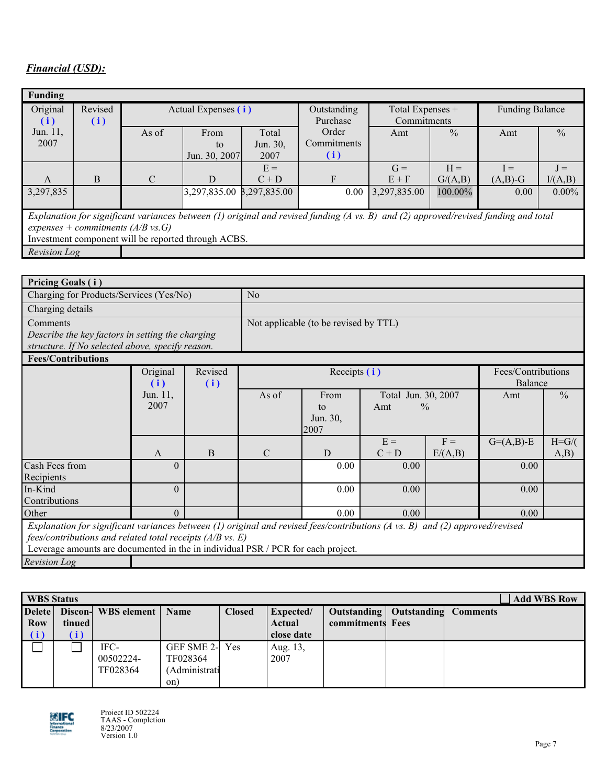# *Financial (USD):*

| <b>Funding</b>                                                                                                                      |         |                                               |               |          |             |                  |               |                        |               |
|-------------------------------------------------------------------------------------------------------------------------------------|---------|-----------------------------------------------|---------------|----------|-------------|------------------|---------------|------------------------|---------------|
| Original                                                                                                                            | Revised | Actual Expenses (i)                           |               |          | Outstanding | Total Expenses + |               | <b>Funding Balance</b> |               |
| (i)                                                                                                                                 | (i)     |                                               |               |          | Purchase    | Commitments      |               |                        |               |
| Jun. 11,                                                                                                                            |         | As of                                         | From          | Total    | Order       | Amt              | $\frac{0}{0}$ | Amt                    | $\frac{0}{0}$ |
| 2007                                                                                                                                |         |                                               | to            | Jun. 30, | Commitments |                  |               |                        |               |
|                                                                                                                                     |         |                                               | Jun. 30, 2007 | 2007     | (i)         |                  |               |                        |               |
|                                                                                                                                     |         |                                               |               | $E =$    |             | $G =$            | $H =$         | $I =$                  | $J =$         |
| $\mathbf{A}$                                                                                                                        | B       | $\mathcal{C}$                                 | D             | $C + D$  | F           | $E + F$          | G/(A,B)       | $(A,B)-G$              | I/(A,B)       |
| 3,297,835                                                                                                                           |         |                                               |               |          | 0.00        | 3,297,835.00     | 100.00%       | 0.00                   | $0.00\%$      |
|                                                                                                                                     |         |                                               |               |          |             |                  |               |                        |               |
| Explanation for significant variances between (1) original and revised funding (A vs. B) and (2) approved/revised funding and total |         |                                               |               |          |             |                  |               |                        |               |
|                                                                                                                                     |         | expenses + commitments $(A/B \text{ vs. } G)$ |               |          |             |                  |               |                        |               |

Investment component will be reported through ACBS.

*Revision Log*

| <b>Pricing Goals (i)</b>                         |                 |         |                                       |                                    |
|--------------------------------------------------|-----------------|---------|---------------------------------------|------------------------------------|
|                                                  |                 |         |                                       |                                    |
| Charging for Products/Services (Yes/No)          |                 |         | No                                    |                                    |
| Charging details                                 |                 |         |                                       |                                    |
| Comments                                         |                 |         | Not applicable (to be revised by TTL) |                                    |
| Describe the key factors in setting the charging |                 |         |                                       |                                    |
| structure. If No selected above, specify reason. |                 |         |                                       |                                    |
| <b>Fees/Contributions</b>                        |                 |         |                                       |                                    |
|                                                  | O <sub>ri</sub> | Darioid | $D_{\text{coordinate}}(i)$            | $E_{\alpha\alpha}/C_{\alpha\beta}$ |

|                                                                                                                                                                                                                                                                                    | Original | Revised |               | Fees/Contributions |                      |         |              |               |
|------------------------------------------------------------------------------------------------------------------------------------------------------------------------------------------------------------------------------------------------------------------------------------|----------|---------|---------------|--------------------|----------------------|---------|--------------|---------------|
|                                                                                                                                                                                                                                                                                    | (i)      | (i)     |               |                    |                      |         | Balance      |               |
|                                                                                                                                                                                                                                                                                    | Jun. 11, |         | As of         | From               | Total Jun. 30, 2007  |         | Amt          | $\frac{0}{0}$ |
|                                                                                                                                                                                                                                                                                    | 2007     |         |               | to                 | $\frac{0}{0}$<br>Amt |         |              |               |
|                                                                                                                                                                                                                                                                                    |          |         |               | Jun. 30,<br>2007   |                      |         |              |               |
|                                                                                                                                                                                                                                                                                    |          |         |               |                    | $E =$                | $F =$   | $G=(A,B)$ -E | $H = G/($     |
|                                                                                                                                                                                                                                                                                    | A        | B       | $\mathcal{C}$ | D                  | $C + D$              | E/(A,B) |              | (A,B)         |
| Cash Fees from<br>Recipients                                                                                                                                                                                                                                                       | $\theta$ |         |               | 0.00               | 0.00                 |         | 0.00         |               |
| In-Kind<br>Contributions                                                                                                                                                                                                                                                           | $\theta$ |         |               | 0.00               | 0.00                 |         | 0.00         |               |
| Other                                                                                                                                                                                                                                                                              | $\Omega$ |         |               | 0.00               | 0.00                 |         | 0.00         |               |
| Explanation for significant variances between (1) original and revised fees/contributions (A vs. B) and (2) approved/revised<br>$fees/contributions$ and related total receipts ( $A/B$ vs. E)<br>Leverage amounts are documented in the in individual PSR / PCR for each project. |          |         |               |                    |                      |         |              |               |
| <b>Revision Log</b>                                                                                                                                                                                                                                                                |          |         |               |                    |                      |         |              |               |

| <b>WBS</b> Status |        |                     |               |               |               |                           | <b>Add WBS Row</b> |
|-------------------|--------|---------------------|---------------|---------------|---------------|---------------------------|--------------------|
| Delete            |        | Discon- WBS element | <b>Name</b>   | <b>Closed</b> | Expected/     | Outstanding   Outstanding | <b>Comments</b>    |
| <b>Row</b>        | tinued |                     |               |               | <b>Actual</b> | commitments Fees          |                    |
| (i)               | (i)    |                     |               |               | close date    |                           |                    |
|                   |        | IFC-                | GEF SME 2-    | Yes           | Aug. 13,      |                           |                    |
|                   |        | 00502224-           | TF028364      |               | 2007          |                           |                    |
|                   |        | TF028364            | (Administrati |               |               |                           |                    |
|                   |        |                     | on)           |               |               |                           |                    |